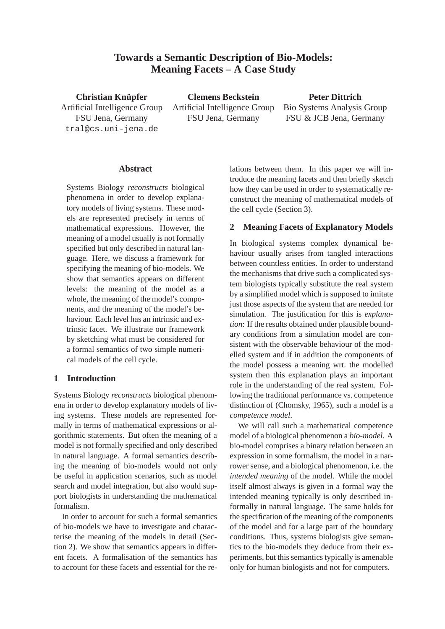# **Towards a Semantic Description of Bio-Models: Meaning Facets – A Case Study**

**Christian Knupfer ¨** Artificial Intelligence Group FSU Jena, Germany tral@cs.uni-jena.de

**Clemens Beckstein** Artificial Intelligence Group FSU Jena, Germany

**Peter Dittrich** Bio Systems Analysis Group FSU & JCB Jena, Germany

#### **Abstract**

Systems Biology *reconstructs* biological phenomena in order to develop explanatory models of living systems. These models are represented precisely in terms of mathematical expressions. However, the meaning of a model usually is not formally specified but only described in natural language. Here, we discuss a framework for specifying the meaning of bio-models. We show that semantics appears on different levels: the meaning of the model as a whole, the meaning of the model's components, and the meaning of the model's behaviour. Each level has an intrinsic and extrinsic facet. We illustrate our framework by sketching what must be considered for a formal semantics of two simple numerical models of the cell cycle.

## **1 Introduction**

Systems Biology *reconstructs* biological phenomena in order to develop explanatory models of living systems. These models are represented formally in terms of mathematical expressions or algorithmic statements. But often the meaning of a model is not formally specified and only described in natural language. A formal semantics describing the meaning of bio-models would not only be useful in application scenarios, such as model search and model integration, but also would support biologists in understanding the mathematical formalism.

In order to account for such a formal semantics of bio-models we have to investigate and characterise the meaning of the models in detail (Section 2). We show that semantics appears in different facets. A formalisation of the semantics has to account for these facets and essential for the relations between them. In this paper we will introduce the meaning facets and then briefly sketch how they can be used in order to systematically reconstruct the meaning of mathematical models of the cell cycle (Section 3).

## **2 Meaning Facets of Explanatory Models**

In biological systems complex dynamical behaviour usually arises from tangled interactions between countless entities. In order to understand the mechanisms that drive such a complicated system biologists typically substitute the real system by a simplified model which is supposed to imitate just those aspects of the system that are needed for simulation. The justification for this is *explanation*: If the results obtained under plausible boundary conditions from a simulation model are consistent with the observable behaviour of the modelled system and if in addition the components of the model possess a meaning wrt. the modelled system then this explanation plays an important role in the understanding of the real system. Following the traditional performance vs. competence distinction of (Chomsky, 1965), such a model is a *competence model*.

We will call such a mathematical competence model of a biological phenomenon a *bio-model*. A bio-model comprises a binary relation between an expression in some formalism, the model in a narrower sense, and a biological phenomenon, i.e. the *intended meaning* of the model. While the model itself almost always is given in a formal way the intended meaning typically is only described informally in natural language. The same holds for the specification of the meaning of the components of the model and for a large part of the boundary conditions. Thus, systems biologists give semantics to the bio-models they deduce from their experiments, but this semantics typically is amenable only for human biologists and not for computers.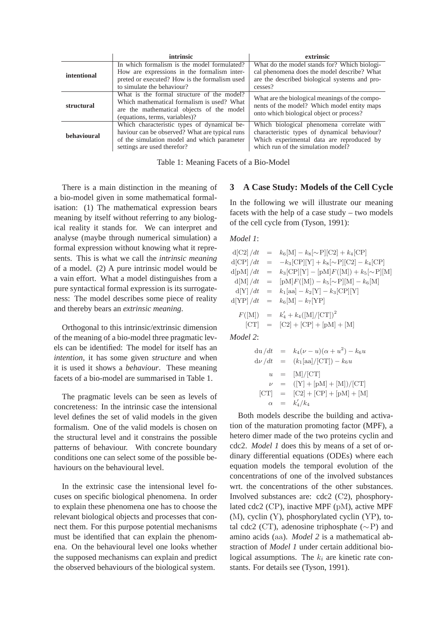|             | intrinsic                                                                                                                                                                   | extrinsic                                                                                                                                                                    |
|-------------|-----------------------------------------------------------------------------------------------------------------------------------------------------------------------------|------------------------------------------------------------------------------------------------------------------------------------------------------------------------------|
| intentional | In which formalism is the model formulated?                                                                                                                                 | What do the model stands for? Which biologi-                                                                                                                                 |
|             | How are expressions in the formalism inter-                                                                                                                                 | cal phenomena does the model describe? What                                                                                                                                  |
|             | preted or executed? How is the formalism used                                                                                                                               | are the described biological systems and pro-                                                                                                                                |
|             | to simulate the behaviour?                                                                                                                                                  | cesses?                                                                                                                                                                      |
| structural  | What is the formal structure of the model?<br>Which mathematical formalism is used? What<br>are the mathematical objects of the model<br>(equations, terms, variables)?     | What are the biological meanings of the compo-<br>nents of the model? Which model entity maps<br>onto which biological object or process?                                    |
| behavioural | Which characteristic types of dynamical be-<br>haviour can be observed? What are typical runs<br>of the simulation model and which parameter<br>settings are used therefor? | Which biological phenomena correlate with<br>characteristic types of dynamical behaviour?<br>Which experimental data are reproduced by<br>which run of the simulation model? |

Table 1: Meaning Facets of a Bio-Model

There is a main distinction in the meaning of a bio-model given in some mathematical formalisation: (1) The mathematical expression bears meaning by itself without referring to any biological reality it stands for. We can interpret and analyse (maybe through numerical simulation) a formal expression without knowing what it represents. This is what we call the *intrinsic meaning* of a model. (2) A pure intrinsic model would be a vain effort. What a model distinguishes from a pure syntactical formal expression is its surrogateness: The model describes some piece of reality and thereby bears an *extrinsic meaning*.

Orthogonal to this intrinsic/extrinsic dimension of the meaning of a bio-model three pragmatic levels can be identified: The model for itself has an *intention*, it has some given *structure* and when it is used it shows a *behaviour*. These meaning facets of a bio-model are summarised in Table 1.

The pragmatic levels can be seen as levels of concreteness: In the intrinsic case the intensional level defines the set of valid models in the given formalism. One of the valid models is chosen on the structural level and it constrains the possible patterns of behaviour. With concrete boundary conditions one can select some of the possible behaviours on the behavioural level.

In the extrinsic case the intensional level focuses on specific biological phenomena. In order to explain these phenomena one has to choose the relevant biological objects and processes that connect them. For this purpose potential mechanisms must be identified that can explain the phenomena. On the behavioural level one looks whether the supposed mechanisms can explain and predict the observed behaviours of the biological system.

#### **3 A Case Study: Models of the Cell Cycle**

In the following we will illustrate our meaning facets with the help of a case study – two models of the cell cycle from (Tyson, 1991):

#### *Model 1*:

|                  | $d[C2]/dt = k_6[M] - k_8[\sim P][C2] + k_4[CP]$      |
|------------------|------------------------------------------------------|
|                  | $d[CP]/dt = -k_3[CP][Y] + k_8[\sim P][C2] - k_4[CP]$ |
| $d {\rm pM} /dt$ | $= k_3[\text{CP}][Y] - [pM]F([M]) + k_5[\sim P][M]$  |
|                  | $d[M]/dt = [pM]F([M]) - k_5[\sim P][M] - k_6[M]$     |
|                  | $d[Y]/dt = k_1[aa] - k_2[Y] - k_3[CP][Y]$            |
|                  | $d[YP]/dt = k_6[M] - k_7[YP]$                        |
|                  | $F([M]) = k'_4 + k_4([M]/[CT])^2$                    |
|                  | $[CT] = [C2] + [CP] + [pM] + [M]$                    |
| 1112             |                                                      |

*Model 2*:

$$
\begin{array}{rcl}\n\mathrm{du}/dt & = & k_4(\nu - u)(\alpha + u^2) - k_6 u \\
\mathrm{d}\nu/dt & = & (k_1[\text{aa}]/[\text{CT}]) - k_6 u \\
u & = & [\text{M}]/[\text{CT}] \\
\nu & = & ([\text{Y}] + [\text{pM}] + [\text{M}])/[\text{CT}]\n\end{array}
$$
\n
$$
\begin{array}{rcl}\n[\text{CT}] & = & [\text{C2}] + [\text{CP}] + [\text{pM}] + [\text{M}]\n\end{array}
$$
\n
$$
\begin{array}{rcl}\n\alpha & = & k_4'/k_4\n\end{array}
$$

Both models describe the building and activation of the maturation promoting factor (MPF), a hetero dimer made of the two proteins cyclin and cdc2. *Model 1* does this by means of a set of ordinary differential equations (ODEs) where each equation models the temporal evolution of the concentrations of one of the involved substances wrt. the concentrations of the other substances. Involved substances are: cdc2 (C2), phosphorylated cdc2 (CP), inactive MPF (pM), active MPF (M), cyclin (Y), phosphorylated cyclin (YP), total cdc2 (CT), adenosine triphosphate ( $\sim$ P) and amino acids (aa). *Model 2* is a mathematical abstraction of *Model 1* under certain additional biological assumptions. The  $k_i$  are kinetic rate constants. For details see (Tyson, 1991).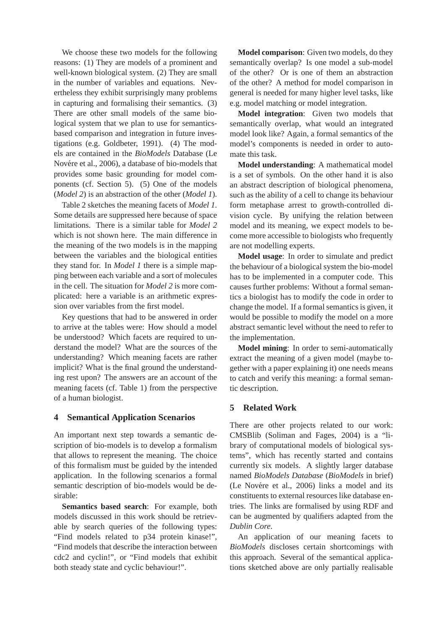We choose these two models for the following reasons: (1) They are models of a prominent and well-known biological system. (2) They are small in the number of variables and equations. Nevertheless they exhibit surprisingly many problems in capturing and formalising their semantics. (3) There are other small models of the same biological system that we plan to use for semanticsbased comparison and integration in future investigations (e.g. Goldbeter, 1991). (4) The models are contained in the *BioModels* Database (Le Novére et al., 2006), a database of bio-models that provides some basic grounding for model components (cf. Section 5). (5) One of the models (*Model 2*) is an abstraction of the other (*Model 1*).

Table 2 sketches the meaning facets of *Model 1*. Some details are suppressed here because of space limitations. There is a similar table for *Model 2* which is not shown here. The main difference in the meaning of the two models is in the mapping between the variables and the biological entities they stand for. In *Model 1* there is a simple mapping between each variable and a sort of molecules in the cell. The situation for *Model 2* is more complicated: here a variable is an arithmetic expression over variables from the first model.

Key questions that had to be answered in order to arrive at the tables were: How should a model be understood? Which facets are required to understand the model? What are the sources of the understanding? Which meaning facets are rather implicit? What is the final ground the understanding rest upon? The answers are an account of the meaning facets (cf. Table 1) from the perspective of a human biologist.

## **4 Semantical Application Scenarios**

An important next step towards a semantic description of bio-models is to develop a formalism that allows to represent the meaning. The choice of this formalism must be guided by the intended application. In the following scenarios a formal semantic description of bio-models would be desirable:

**Semantics based search**: For example, both models discussed in this work should be retrievable by search queries of the following types: "Find models related to p34 protein kinase!", "Find models that describe the interaction between cdc2 and cyclin!", or "Find models that exhibit both steady state and cyclic behaviour!".

**Model comparison**: Given two models, do they semantically overlap? Is one model a sub-model of the other? Or is one of them an abstraction of the other? A method for model comparison in general is needed for many higher level tasks, like e.g. model matching or model integration.

**Model integration**: Given two models that semantically overlap, what would an integrated model look like? Again, a formal semantics of the model's components is needed in order to automate this task.

**Model understanding**: A mathematical model is a set of symbols. On the other hand it is also an abstract description of biological phenomena, such as the ability of a cell to change its behaviour form metaphase arrest to growth-controlled division cycle. By unifying the relation between model and its meaning, we expect models to become more accessible to biologists who frequently are not modelling experts.

**Model usage**: In order to simulate and predict the behaviour of a biological system the bio-model has to be implemented in a computer code. This causes further problems: Without a formal semantics a biologist has to modify the code in order to change the model. If a formal semantics is given, it would be possible to modify the model on a more abstract semantic level without the need to refer to the implementation.

**Model mining**: In order to semi-automatically extract the meaning of a given model (maybe together with a paper explaining it) one needs means to catch and verify this meaning: a formal semantic description.

## **5 Related Work**

There are other projects related to our work: CMSBlib (Soliman and Fages, 2004) is a "library of computational models of biological systems", which has recently started and contains currently six models. A slightly larger database named *BioModels Database* (*BioModels* in brief) (Le Novére et al., 2006) links a model and its constituents to external resources like database entries. The links are formalised by using RDF and can be augmented by qualifiers adapted from the *Dublin Core*.

An application of our meaning facets to *BioModels* discloses certain shortcomings with this approach. Several of the semantical applications sketched above are only partially realisable